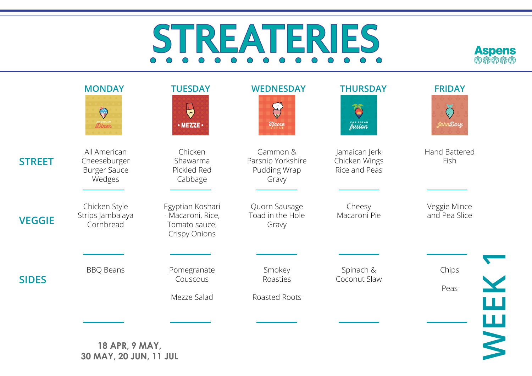## REA ERIES  $S^{1}$  $O$   $O$  $\bigcirc$  $\bigcap$  $\bigcap$



|               | <b>MONDAY</b><br>$\mathbb{Q}$<br><b>Diner</b>                 | <b>TUESDAY</b><br>$\overline{\overline{z}}$<br>$\cdot$ MEZZE $\cdot$           | <b>WEDNESDAY</b><br><b>Elome</b>                       | <b>THURSDAY</b><br>$\Theta$<br>CARIBBEAN        | <b>FRIDAY</b><br>$\bigcirc$<br>JohnDory |
|---------------|---------------------------------------------------------------|--------------------------------------------------------------------------------|--------------------------------------------------------|-------------------------------------------------|-----------------------------------------|
| <b>STREET</b> | All American<br>Cheeseburger<br><b>Burger Sauce</b><br>Wedges | Chicken<br>Shawarma<br>Pickled Red<br>Cabbage                                  | Gammon &<br>Parsnip Yorkshire<br>Pudding Wrap<br>Gravy | Jamaican Jerk<br>Chicken Wings<br>Rice and Peas | Hand Battered<br>Fish                   |
| <b>VEGGIE</b> | Chicken Style<br>Strips Jambalaya<br>Cornbread                | Egyptian Koshari<br>- Macaroni, Rice,<br>Tomato sauce,<br><b>Crispy Onions</b> | Quorn Sausage<br>Toad in the Hole<br>Gravy             | Cheesy<br>Macaroni Pie                          | Veggie Mince<br>and Pea Slice           |
| <b>SIDES</b>  | <b>BBQ Beans</b>                                              | Pomegranate<br>Couscous<br>Mezze Salad                                         | Smokey<br>Roasties<br>Roasted Roots                    | Spinach &<br>Coconut Slaw                       | Chips<br>Peas                           |
|               | 18 APR, 9 MAY,<br>30 MAY, 20 JUN, 11 JUL                      |                                                                                |                                                        |                                                 | WEEH                                    |

**18 APR, 9 MAY, 30 MAY, 20 JUN, 11 JUL**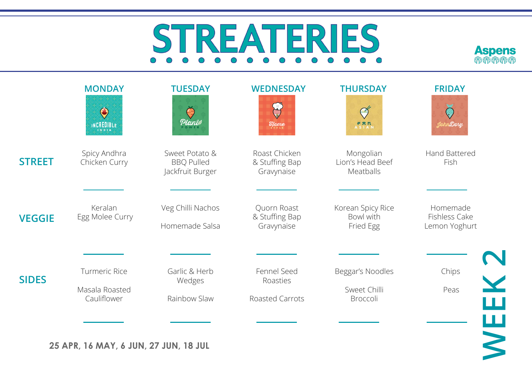# ERIES S  $R$  $E/A$  $\bigcirc$



|               | <b>MONDAY</b><br>$\bigodot$<br>INCREDIBLE             | <b>TUESDAY</b><br>$\ominus$<br>Planie                   | <b>WEDNESDAY</b><br>$\sum_{i=1}^n$<br>$\mathcal{H}$ <sub>s T</sub> y <sub>le</sub> | <b>THURSDAY</b><br>Ø<br><b>PRR</b><br>ASIAN  | <b>FRIDAY</b><br>JohnDory                  |
|---------------|-------------------------------------------------------|---------------------------------------------------------|------------------------------------------------------------------------------------|----------------------------------------------|--------------------------------------------|
| <b>STREET</b> | Spicy Andhra<br>Chicken Curry                         | Sweet Potato &<br><b>BBQ Pulled</b><br>Jackfruit Burger | Roast Chicken<br>& Stuffing Bap<br>Gravynaise                                      | Mongolian<br>Lion's Head Beef<br>Meatballs   | Hand Battered<br>Fish                      |
| <b>VEGGIE</b> | Keralan<br>Egg Molee Curry                            | Veg Chilli Nachos<br>Homemade Salsa                     | Quorn Roast<br>& Stuffing Bap<br>Gravynaise                                        | Korean Spicy Rice<br>Bowl with<br>Fried Egg  | Homemade<br>Fishless Cake<br>Lemon Yoghurt |
| <b>SIDES</b>  | <b>Turmeric Rice</b><br>Masala Roasted<br>Cauliflower | Garlic & Herb<br>Wedges<br>Rainbow Slaw                 | Fennel Seed<br>Roasties<br>Roasted Carrots                                         | Beggar's Noodles<br>Sweet Chilli<br>Broccoli | Chips<br>Peas                              |
|               | 25 APR, 16 MAY, 6 JUN, 27 JUN, 18 JUL                 |                                                         |                                                                                    |                                              | <b>WEEK2</b>                               |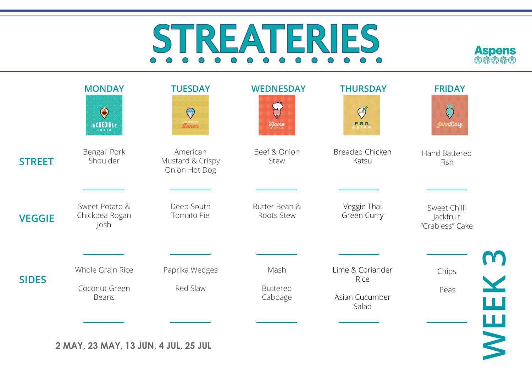# ES  $|D \rangle |$

**Aspens MMMMM**